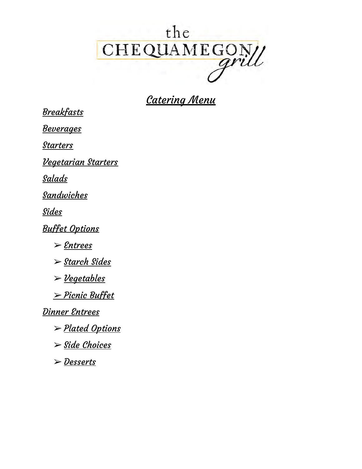# the CHEQUAMEGON

# Catering Menu

**Breakfasts** 

**Beverages** 

**Starters** 

Vegetarian Starters

Salads

Sandwiches

**Sides** 

Buffet Options

➢ Entrees

➢ Starch Sides

 $\geq$  Vegetables

➢ Picnic Buffet

Dinner Entrees

➢ Plated Options

 $\triangleright$  Side Choices

➢ Desserts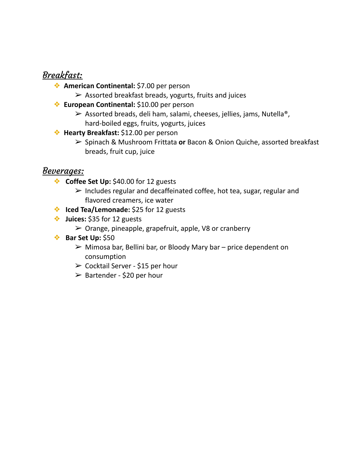## Breakfast:

- ❖ **American Continental:** \$7.00 per person
	- $\triangleright$  Assorted breakfast breads, yogurts, fruits and juices
- ❖ **European Continental:** \$10.00 per person
	- $\triangleright$  Assorted breads, deli ham, salami, cheeses, jellies, jams, Nutella<sup>®</sup>, hard-boiled eggs, fruits, yogurts, juices
- ❖ **Hearty Breakfast:** \$12.00 per person
	- ➢ Spinach & Mushroom Frittata **or** Bacon & Onion Quiche, assorted breakfast breads, fruit cup, juice

### Beverages:

- ❖ **Coffee Set Up:** \$40.00 for 12 guests
	- $\triangleright$  Includes regular and decaffeinated coffee, hot tea, sugar, regular and flavored creamers, ice water
- ❖ **Iced Tea/Lemonade:** \$25 for 12 guests
- ❖ **Juices:** \$35 for 12 guests
	- $\triangleright$  Orange, pineapple, grapefruit, apple, V8 or cranberry
- ❖ **Bar Set Up:** \$50
	- $\triangleright$  Mimosa bar, Bellini bar, or Bloody Mary bar price dependent on consumption
	- ➢ Cocktail Server \$15 per hour
	- $\triangleright$  Bartender \$20 per hour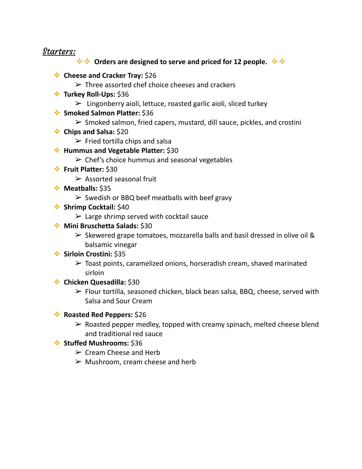#### Starters:

#### $\div$  $\div$  **Orders are designed to serve and priced for 12 people.**  $\div$   $\div$

- ❖ **Cheese and Cracker Tray:** \$26
	- $\triangleright$  Three assorted chef choice cheeses and crackers
- ❖ **Turkey Roll-Ups:** \$36
	- $\triangleright$  Lingonberry aioli, lettuce, roasted garlic aioli, sliced turkey
- ❖ **Smoked Salmon Platter:** \$36
	- $\triangleright$  Smoked salmon, fried capers, mustard, dill sauce, pickles, and crostini
- ❖ **Chips and Salsa:** \$20
	- $\triangleright$  Fried tortilla chips and salsa
- ❖ **Hummus and Vegetable Platter:** \$30
	- $\triangleright$  Chef's choice hummus and seasonal vegetables
- ❖ **Fruit Platter:** \$30
	- $\triangleright$  Assorted seasonal fruit
- ❖ **Meatballs:** \$35
	- $\triangleright$  Swedish or BBQ beef meatballs with beef gravy
- ❖ **Shrimp Cocktail:** \$40
	- $\triangleright$  Large shrimp served with cocktail sauce
- ❖ **Mini Bruschetta Salads:** \$30
	- $\triangleright$  Skewered grape tomatoes, mozzarella balls and basil dressed in olive oil & balsamic vinegar
- ❖ **Sirloin Crostini:** \$35
	- $\triangleright$  Toast points, caramelized onions, horseradish cream, shaved marinated sirloin
- ❖ **Chicken Quesadilla:** \$30
	- $\triangleright$  Flour tortilla, seasoned chicken, black bean salsa, BBQ, cheese, served with Salsa and Sour Cream

#### ❖ **Roasted Red Peppers:** \$26

 $\triangleright$  Roasted pepper medley, topped with creamy spinach, melted cheese blend and traditional red sauce

#### ❖ **Stuffed Mushrooms:** \$36

- $\triangleright$  Cream Cheese and Herb
- $\triangleright$  Mushroom, cream cheese and herb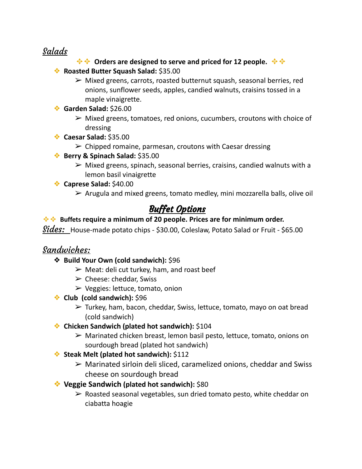## Salads

#### $\div$  $\div$  **Orders are designed to serve and priced for 12 people.**  $\div$   $\div$

- ❖ **Roasted Butter Squash Salad:** \$35.00
	- $\triangleright$  Mixed greens, carrots, roasted butternut squash, seasonal berries, red onions, sunflower seeds, apples, candied walnuts, craisins tossed in a maple vinaigrette.
- ❖ **Garden Salad:** \$26.00
	- $\triangleright$  Mixed greens, tomatoes, red onions, cucumbers, croutons with choice of dressing
- ❖ **Caesar Salad:** \$35.00
	- $\triangleright$  Chipped romaine, parmesan, croutons with Caesar dressing
- ❖ **Berry & Spinach Salad:** \$35.00
	- $\triangleright$  Mixed greens, spinach, seasonal berries, craisins, candied walnuts with a lemon basil vinaigrette
- ❖ **Caprese Salad:** \$40.00
	- $\triangleright$  Arugula and mixed greens, tomato medley, mini mozzarella balls, olive oil

## Buffet Options

#### ✥✥ **Buffets require a minimum of 20 people. Prices are for minimum order.**

Sides: House-made potato chips - \$30.00, Coleslaw, Potato Salad or Fruit - \$65.00

### Sandwiches:

- ❖ **Build Your Own (cold sandwich):** \$96
	- $\triangleright$  Meat: deli cut turkey, ham, and roast beef
	- $\triangleright$  Cheese: cheddar, Swiss
	- $\triangleright$  Veggies: lettuce, tomato, onion
- ❖ **Club (cold sandwich):** \$96
	- $\triangleright$  Turkey, ham, bacon, cheddar, Swiss, lettuce, tomato, mayo on oat bread (cold sandwich)
- ❖ **Chicken Sandwich (plated hot sandwich):** \$104
	- ➢ Marinated chicken breast, lemon basil pesto, lettuce, tomato, onions on sourdough bread (plated hot sandwich)
- ❖ **Steak Melt (plated hot sandwich):** \$112
	- $\triangleright$  Marinated sirloin deli sliced, caramelized onions, cheddar and Swiss cheese on sourdough bread
- ❖ **Veggie Sandwich (plated hot sandwich):** \$80
	- $\triangleright$  Roasted seasonal vegetables, sun dried tomato pesto, white cheddar on ciabatta hoagie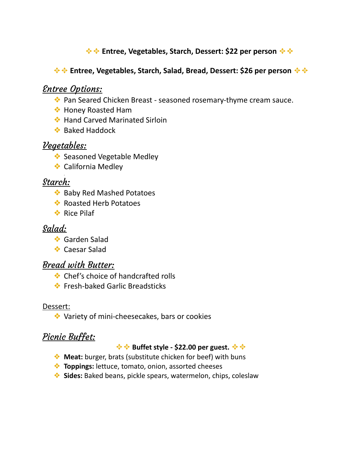#### $\div$  $\div$  **Entree, Vegetables, Starch, Dessert: \$22 per person**  $\div$   $\div$

#### $\div$  $\div$  **Entree, Vegetables, Starch, Salad, Bread, Dessert: \$26 per person**  $\div$   $\div$

## Entree Options:

- ❖ Pan Seared Chicken Breast seasoned rosemary-thyme cream sauce.
- ❖ Honey Roasted Ham
- ❖ Hand Carved Marinated Sirloin
- ❖ Baked Haddock

## Vegetables:

.

- ❖ Seasoned Vegetable Medley
- ❖ California Medley

### Starch:

- ❖ Baby Red Mashed Potatoes
- ❖ Roasted Herb Potatoes
- ❖ Rice Pilaf

## Salad:

- ❖ Garden Salad
- ❖ Caesar Salad

### Bread with Butter:

- ❖ Chef's choice of handcrafted rolls
- ❖ Fresh-baked Garlic Breadsticks

#### Dessert:

❖ Variety of mini-cheesecakes, bars or cookies

## Picnic Buffet:

#### $\div$  $\div$  **Buffet style - \$22.00 per guest.**  $\div$   $\div$

- ❖ **Meat:** burger, brats (substitute chicken for beef) with buns
- ❖ **Toppings:** lettuce, tomato, onion, assorted cheeses
- ❖ **Sides:** Baked beans, pickle spears, watermelon, chips, coleslaw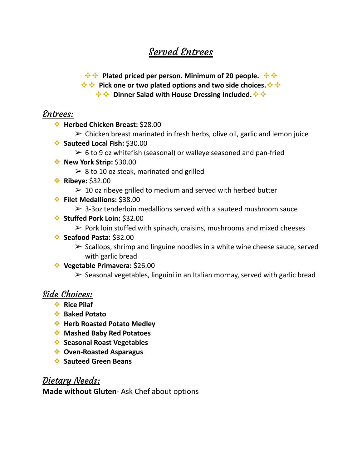# Served Entrees

 $\div$  $\div$  **Plated priced per person. Minimum of 20 people.**  $\div$   $\div$ 

 $\div$  $\div$  **Pick one or two plated options and two side choices.**  $\div$  $\div$ 

 $\div$  $\div$  **Dinner Salad with House Dressing Included.**  $\div$   $\div$ 

### Entrees:

- ❖ **Herbed Chicken Breast:** \$28.00
	- $\triangleright$  Chicken breast marinated in fresh herbs, olive oil, garlic and lemon juice
- ❖ **Sauteed Local Fish:** \$30.00
	- $\geq 6$  to 9 oz whitefish (seasonal) or walleye seasoned and pan-fried
- ❖ **New York Strip:** \$30.00
	- $\geq 8$  to 10 oz steak, marinated and grilled
- ❖ **Ribeye:** \$32.00
	- $\geq$  10 oz ribeye grilled to medium and served with herbed butter
- ❖ **Filet Medallions:** \$38.00
	- $\geq$  3-3oz tenderloin medallions served with a sauteed mushroom sauce
- ❖ **Stuffed Pork Loin:** \$32.00
	- $\triangleright$  Pork loin stuffed with spinach, craisins, mushrooms and mixed cheeses
- ❖ **Seafood Pasta:** \$32.00
	- $\triangleright$  Scallops, shrimp and linguine noodles in a white wine cheese sauce, served with garlic bread
- ❖ **Vegetable Primavera:** \$26.00
	- $\triangleright$  Seasonal vegetables, linguini in an Italian mornay, served with garlic bread

## Side Choices:

- ❖ **Rice Pilaf**
- ❖ **Baked Potato**
- ❖ **Herb Roasted Potato Medley**
- ❖ **Mashed Baby Red Potatoes**
- ❖ **Seasonal Roast Vegetables**
- ❖ **Oven-Roasted Asparagus**
- ❖ **Sauteed Green Beans**

## Dietary Needs:

**Made without Gluten**- Ask Chef about options